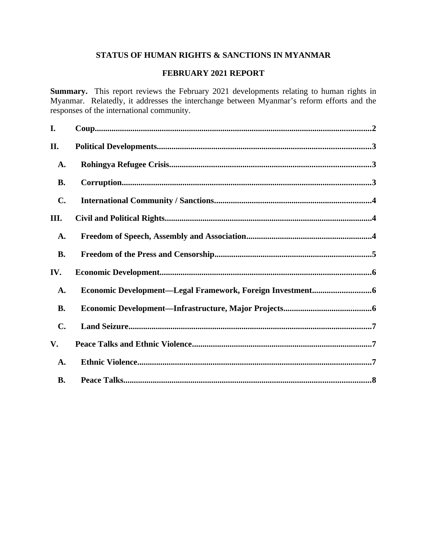# **STATUS OF HUMAN RIGHTS & SANCTIONS IN MYANMAR**

## **FEBRUARY 2021 REPORT**

**Summary.** This report reviews the February 2021 developments relating to human rights in Myanmar. Relatedly, it addresses the interchange between Myanmar's reform efforts and the responses of the international community.

| I.             |  |
|----------------|--|
| II.            |  |
| A.             |  |
| <b>B.</b>      |  |
| $\mathbf{C}$ . |  |
| III.           |  |
| A.             |  |
| <b>B.</b>      |  |
| IV.            |  |
| A.             |  |
| <b>B.</b>      |  |
| $\mathbf{C}$ . |  |
| V.             |  |
| A.             |  |
| <b>B.</b>      |  |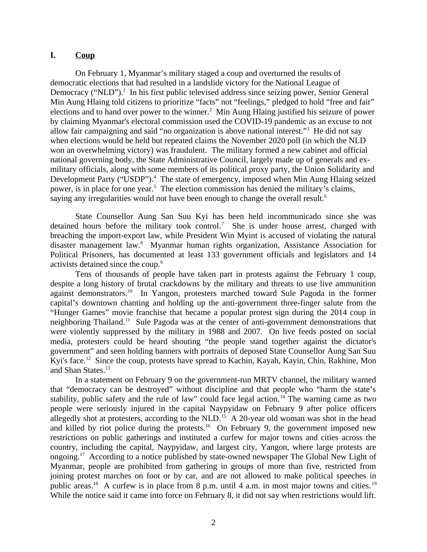### <span id="page-1-0"></span>**I. Coup**

On February 1, Myanmar's military staged a coup and overturned the results of democratic elections that had resulted in a landslide victory for the National League of Democracy ("NLD").<sup>1</sup> In his first public televised address since seizing power, Senior General Min Aung Hlaing told citizens to prioritize "facts" not "feelings," pledged to hold "free and fair" elections and to hand over power to the winner.<sup>2</sup> Min Aung Hlaing justified his seizure of power by claiming Myanmar's electoral commission used the COVID-19 pandemic as an excuse to not allow fair campaigning and said "no organization is above national interest."<sup>3</sup> He did not say when elections would be held but repeated claims the November 2020 poll (in which the NLD won an overwhelming victory) was fraudulent. The military formed a new cabinet and official national governing body, the State Administrative Council, largely made up of generals and exmilitary officials, along with some members of its political proxy party, the Union Solidarity and Development Party ("USDP").<sup>4</sup> The state of emergency, imposed when Min Aung Hlaing seized power, is in place for one year.<sup>5</sup> The election commission has denied the military's claims, saying any irregularities would not have been enough to change the overall result. $6\%$ 

State Counsellor Aung San Suu Kyi has been held incommunicado since she was detained hours before the military took control.<sup>7</sup> She is under house arrest, charged with breaching the import-export law, while President Win Myint is accused of violating the natural disaster management law.<sup>8</sup> Myanmar human rights organization, Assistance Association for Political Prisoners, has documented at least 133 government officials and legislators and 14 activists detained since the coup.<sup>9</sup>

Tens of thousands of people have taken part in protests against the February 1 coup, despite a long history of brutal crackdowns by the military and threats to use live ammunition against demonstrators.<sup>10</sup> In Yangon, protesters marched toward Sule Pagoda in the former capital's downtown chanting and holding up the anti-government three-finger salute from the "Hunger Games" movie franchise that became a popular protest sign during the 2014 coup in neighboring Thailand.<sup>11</sup> Sule Pagoda was at the center of anti-government demonstrations that were violently suppressed by the military in 1988 and 2007. On live feeds posted on social media, protesters could be heard shouting "the people stand together against the dictator's government" and seen holding banners with portraits of deposed State Counsellor Aung San Suu Kyi's face.<sup>12</sup> Since the coup, protests have spread to Kachin, Kayah, Kayin, Chin, Rakhine, Mon and Shan States.<sup>13</sup>

In a statement on February 9 on the government-run MRTV channel, the military warned that "democracy can be destroyed" without discipline and that people who "harm the state's stability, public safety and the rule of law" could face legal action.<sup>14</sup> The warning came as two people were seriously injured in the capital Naypyidaw on February 9 after police officers allegedly shot at protesters, according to the NLD.<sup>15</sup> A 20-year old woman was shot in the head and killed by riot police during the protests.<sup>16</sup> On February 9, the government imposed new restrictions on public gatherings and instituted a curfew for major towns and cities across the country, including the capital, Naypyidaw, and largest city, Yangon, where large protests are ongoing.<sup>17</sup> According to a notice published by state-owned newspaper The Global New Light of Myanmar, people are prohibited from gathering in groups of more than five, restricted from joining protest marches on foot or by car, and are not allowed to make political speeches in public areas.<sup>18</sup> A curfew is in place from 8 p.m. until 4 a.m. in most major towns and cities.<sup>19</sup> While the notice said it came into force on February 8, it did not say when restrictions would lift.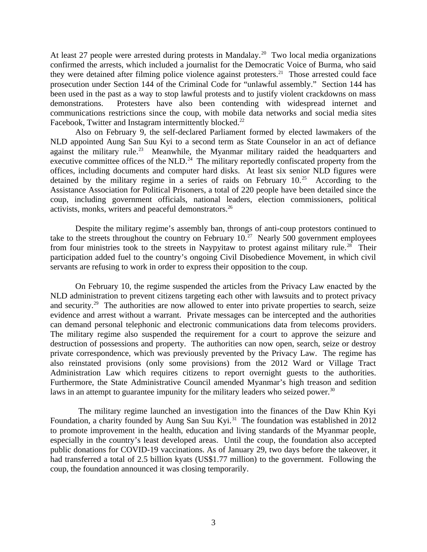At least 27 people were arrested during protests in Mandalay.<sup>20</sup> Two local media organizations confirmed the arrests, which included a journalist for the Democratic Voice of Burma, who said they were detained after filming police violence against protesters.<sup>21</sup> Those arrested could face prosecution under Section 144 of the Criminal Code for "unlawful assembly." Section 144 has been used in the past as a way to stop lawful protests and to justify violent crackdowns on mass demonstrations. Protesters have also been contending with widespread internet and communications restrictions since the coup, with mobile data networks and social media sites Facebook, Twitter and Instagram intermittently blocked.<sup>22</sup>

Also on February 9, the self-declared Parliament formed by elected lawmakers of the NLD appointed Aung San Suu Kyi to a second term as State Counselor in an act of defiance against the military rule.<sup>23</sup> Meanwhile, the Myanmar military raided the headquarters and executive committee offices of the  $NLD<sup>24</sup>$ . The military reportedly confiscated property from the offices, including documents and computer hard disks. At least six senior NLD figures were detained by the military regime in a series of raids on February 10.<sup>25</sup> According to the Assistance Association for Political Prisoners, a total of 220 people have been detailed since the coup, including government officials, national leaders, election commissioners, political activists, monks, writers and peaceful demonstrators.<sup>26</sup>

Despite the military regime's assembly ban, throngs of anti-coup protestors continued to take to the streets throughout the country on February  $10<sup>27</sup>$  Nearly 500 government employees from four ministries took to the streets in Naypyitaw to protest against military rule.<sup>28</sup> Their participation added fuel to the country's ongoing Civil Disobedience Movement, in which civil servants are refusing to work in order to express their opposition to the coup.

On February 10, the regime suspended the articles from the Privacy Law enacted by the NLD administration to prevent citizens targeting each other with lawsuits and to protect privacy and security.<sup>29</sup> The authorities are now allowed to enter into private properties to search, seize evidence and arrest without a warrant. Private messages can be intercepted and the authorities can demand personal telephonic and electronic communications data from telecoms providers. The military regime also suspended the requirement for a court to approve the seizure and destruction of possessions and property. The authorities can now open, search, seize or destroy private correspondence, which was previously prevented by the Privacy Law. The regime has also reinstated provisions (only some provisions) from the 2012 Ward or Village Tract Administration Law which requires citizens to report overnight guests to the authorities. Furthermore, the State Administrative Council amended Myanmar's high treason and sedition laws in an attempt to guarantee impunity for the military leaders who seized power. $30$ 

 The military regime launched an investigation into the finances of the Daw Khin Kyi Foundation, a charity founded by Aung San Suu Kyi.<sup>31</sup> The foundation was established in 2012 to promote improvement in the health, education and living standards of the Myanmar people, especially in the country's least developed areas. Until the coup, the foundation also accepted public donations for COVID-19 vaccinations. As of January 29, two days before the takeover, it had transferred a total of 2.5 billion kyats (US\$1.77 million) to the government. Following the coup, the foundation announced it was closing temporarily.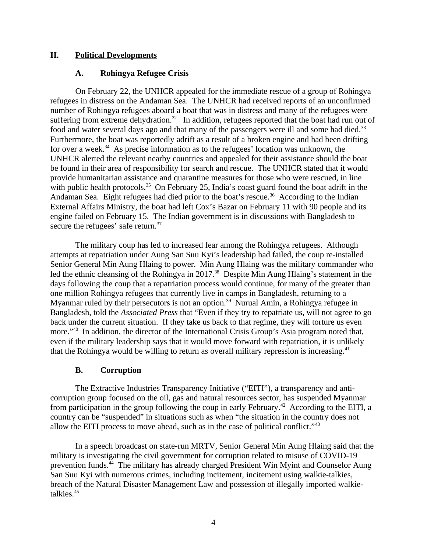## **II. Political Developments**

### <span id="page-3-1"></span><span id="page-3-0"></span>**A. Rohingya Refugee Crisis**

On February 22, the UNHCR appealed for the immediate rescue of a group of Rohingya refugees in distress on the Andaman Sea. The UNHCR had received reports of an unconfirmed number of Rohingya refugees aboard a boat that was in distress and many of the refugees were suffering from extreme dehydration.<sup>32</sup> In addition, refugees reported that the boat had run out of food and water several days ago and that many of the passengers were ill and some had died.<sup>33</sup> Furthermore, the boat was reportedly adrift as a result of a broken engine and had been drifting for over a week.<sup>34</sup> As precise information as to the refugees' location was unknown, the UNHCR alerted the relevant nearby countries and appealed for their assistance should the boat be found in their area of responsibility for search and rescue. The UNHCR stated that it would provide humanitarian assistance and quarantine measures for those who were rescued, in line with public health protocols. $35$  On February 25, India's coast guard found the boat adrift in the Andaman Sea. Eight refugees had died prior to the boat's rescue.<sup>36</sup> According to the Indian External Affairs Ministry, the boat had left Cox's Bazar on February 11 with 90 people and its engine failed on February 15. The Indian government is in discussions with Bangladesh to secure the refugees' safe return.<sup>37</sup>

The military coup has led to increased fear among the Rohingya refugees. Although attempts at repatriation under Aung San Suu Kyi's leadership had failed, the coup re-installed Senior General Min Aung Hlaing to power. Min Aung Hlaing was the military commander who led the ethnic cleansing of the Rohingya in 2017.<sup>38</sup> Despite Min Aung Hlaing's statement in the days following the coup that a repatriation process would continue, for many of the greater than one million Rohingya refugees that currently live in camps in Bangladesh, returning to a Myanmar ruled by their persecutors is not an option.<sup>39</sup> Nurual Amin, a Rohingya refugee in Bangladesh, told the *Associated Press* that "Even if they try to repatriate us, will not agree to go back under the current situation. If they take us back to that regime, they will torture us even more."<sup>40</sup> In addition, the director of the International Crisis Group's Asia program noted that, even if the military leadership says that it would move forward with repatriation, it is unlikely that the Rohingya would be willing to return as overall military repression is increasing. $41$ 

### <span id="page-3-2"></span>**B. Corruption**

The Extractive Industries Transparency Initiative ("EITI"), a transparency and anticorruption group focused on the oil, gas and natural resources sector, has suspended Myanmar from participation in the group following the coup in early February.<sup>42</sup> According to the EITI, a country can be "suspended" in situations such as when "the situation in the country does not allow the EITI process to move ahead, such as in the case of political conflict."<sup>43</sup>

In a speech broadcast on state-run MRTV, Senior General Min Aung Hlaing said that the military is investigating the civil government for corruption related to misuse of COVID-19 prevention funds.<sup>44</sup> The military has already charged President Win Myint and Counselor Aung San Suu Kyi with numerous crimes, including incitement, incitement using walkie-talkies, breach of the Natural Disaster Management Law and possession of illegally imported walkietalkies.<sup>45</sup>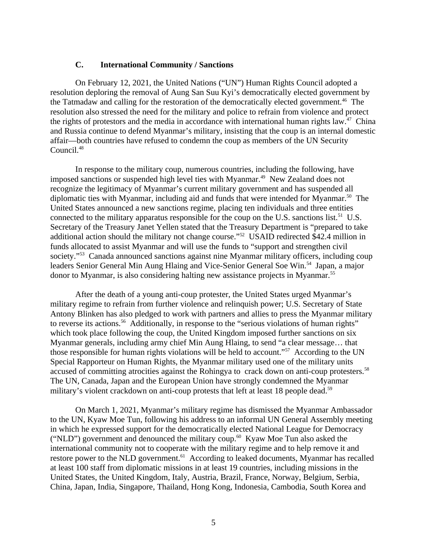#### <span id="page-4-0"></span>**C. International Community / Sanctions**

On February 12, 2021, the United Nations ("UN") Human Rights Council adopted a resolution deploring the removal of Aung San Suu Kyi's democratically elected government by the Tatmadaw and calling for the restoration of the democratically elected government.<sup>46</sup> The resolution also stressed the need for the military and police to refrain from violence and protect the rights of protestors and the media in accordance with international human rights law.<sup>47</sup> China and Russia continue to defend Myanmar's military, insisting that the coup is an internal domestic affair—both countries have refused to condemn the coup as members of the UN Security Council.<sup>48</sup>

In response to the military coup, numerous countries, including the following, have imposed sanctions or suspended high level ties with Myanmar.<sup>49</sup> New Zealand does not recognize the legitimacy of Myanmar's current military government and has suspended all diplomatic ties with Myanmar, including aid and funds that were intended for Myanmar.<sup>50</sup> The United States announced a new sanctions regime, placing ten individuals and three entities connected to the military apparatus responsible for the coup on the U.S. sanctions list.<sup>51</sup> U.S. Secretary of the Treasury Janet Yellen stated that the Treasury Department is "prepared to take additional action should the military not change course."<sup>52</sup> USAID redirected \$42.4 million in funds allocated to assist Myanmar and will use the funds to "support and strengthen civil society."<sup>53</sup> Canada announced sanctions against nine Myanmar military officers, including coup leaders Senior General Min Aung Hlaing and Vice-Senior General Soe Win.<sup>54</sup> Japan, a major donor to Myanmar, is also considering halting new assistance projects in Myanmar.<sup>55</sup>

After the death of a young anti-coup protester, the United States urged Myanmar's military regime to refrain from further violence and relinquish power; U.S. Secretary of State Antony Blinken has also pledged to work with partners and allies to press the Myanmar military to reverse its actions.<sup>56</sup> Additionally, in response to the "serious violations of human rights" which took place following the coup, the United Kingdom imposed further sanctions on six Myanmar generals, including army chief Min Aung Hlaing, to send "a clear message… that those responsible for human rights violations will be held to account."<sup>57</sup> According to the UN Special Rapporteur on Human Rights, the Myanmar military used one of the military units accused of committing atrocities against the Rohingya to crack down on anti-coup protesters.<sup>58</sup> The UN, Canada, Japan and the European Union have strongly condemned the Myanmar military's violent crackdown on anti-coup protests that left at least 18 people dead.<sup>59</sup>

On March 1, 2021, Myanmar's military regime has dismissed the Myanmar Ambassador to the UN, Kyaw Moe Tun, following his address to an informal UN General Assembly meeting in which he expressed support for the democratically elected National League for Democracy ("NLD") government and denounced the military coup.<sup>60</sup> Kyaw Moe Tun also asked the international community not to cooperate with the military regime and to help remove it and restore power to the NLD government.<sup>61</sup> According to leaked documents, Myanmar has recalled at least 100 staff from diplomatic missions in at least 19 countries, including missions in the United States, the United Kingdom, Italy, Austria, Brazil, France, Norway, Belgium, Serbia, China, Japan, India, Singapore, Thailand, Hong Kong, Indonesia, Cambodia, South Korea and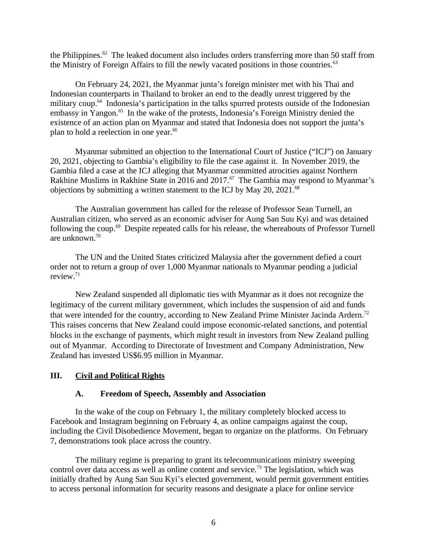the Philippines.<sup>62</sup> The leaked document also includes orders transferring more than 50 staff from the Ministry of Foreign Affairs to fill the newly vacated positions in those countries. $63$ 

On February 24, 2021, the Myanmar junta's foreign minister met with his Thai and Indonesian counterparts in Thailand to broker an end to the deadly unrest triggered by the military coup.<sup>64</sup> Indonesia's participation in the talks spurred protests outside of the Indonesian embassy in Yangon.<sup>65</sup> In the wake of the protests, Indonesia's Foreign Ministry denied the existence of an action plan on Myanmar and stated that Indonesia does not support the junta's plan to hold a reelection in one year.<sup>66</sup>

Myanmar submitted an objection to the International Court of Justice ("ICJ") on January 20, 2021, objecting to Gambia's eligibility to file the case against it. In November 2019, the Gambia filed a case at the ICJ alleging that Myanmar committed atrocities against Northern Rakhine Muslims in Rakhine State in 2016 and 2017.<sup>67</sup> The Gambia may respond to Myanmar's objections by submitting a written statement to the ICJ by May 20, 2021.<sup>68</sup>

The Australian government has called for the release of Professor Sean Turnell, an Australian citizen, who served as an economic adviser for Aung San Suu Kyi and was detained following the coup.<sup>69</sup> Despite repeated calls for his release, the whereabouts of Professor Turnell are unknown.<sup>70</sup>

The UN and the United States criticized Malaysia after the government defied a court order not to return a group of over 1,000 Myanmar nationals to Myanmar pending a judicial review.<sup>71</sup>

New Zealand suspended all diplomatic ties with Myanmar as it does not recognize the legitimacy of the current military government, which includes the suspension of aid and funds that were intended for the country, according to New Zealand Prime Minister Jacinda Ardern.<sup>72</sup> This raises concerns that New Zealand could impose economic-related sanctions, and potential blocks in the exchange of payments, which might result in investors from New Zealand pulling out of Myanmar. According to Directorate of Investment and Company Administration, New Zealand has invested US\$6.95 million in Myanmar.

# **III. Civil and Political Rights**

# <span id="page-5-1"></span><span id="page-5-0"></span>**A. Freedom of Speech, Assembly and Association**

In the wake of the coup on February 1, the military completely blocked access to Facebook and Instagram beginning on February 4, as online campaigns against the coup, including the Civil Disobedience Movement, began to organize on the platforms. On February 7, demonstrations took place across the country.

The military regime is preparing to grant its telecommunications ministry sweeping control over data access as well as online content and service.<sup>73</sup> The legislation, which was initially drafted by Aung San Suu Kyi's elected government, would permit government entities to access personal information for security reasons and designate a place for online service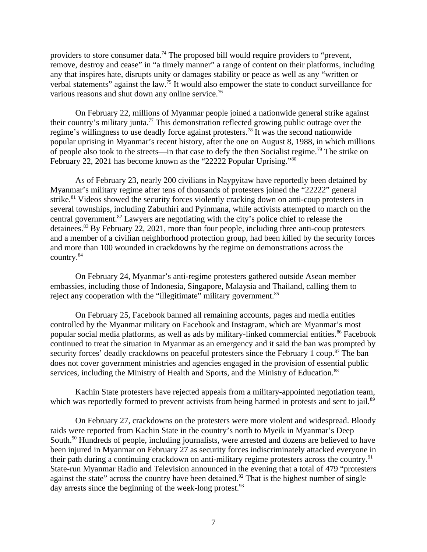providers to store consumer data.<sup>74</sup> The proposed bill would require providers to "prevent, remove, destroy and cease" in "a timely manner" a range of content on their platforms, including any that inspires hate, disrupts unity or damages stability or peace as well as any "written or verbal statements" against the law.<sup>75</sup> It would also empower the state to conduct surveillance for various reasons and shut down any online service.<sup>76</sup>

On February 22, millions of Myanmar people joined a nationwide general strike against their country's military junta.<sup>77</sup> This demonstration reflected growing public outrage over the regime's willingness to use deadly force against protesters.<sup>78</sup> It was the second nationwide popular uprising in Myanmar's recent history, after the one on August 8, 1988, in which millions of people also took to the streets—in that case to defy the then Socialist regime.<sup>79</sup> The strike on February 22, 2021 has become known as the "22222 Popular Uprising."<sup>80</sup>

As of February 23, nearly 200 civilians in Naypyitaw have reportedly been detained by Myanmar's military regime after tens of thousands of protesters joined the "22222" general strike.<sup>81</sup> Videos showed the security forces violently cracking down on anti-coup protesters in several townships, including Zabuthiri and Pyinmana, while activists attempted to march on the central government.<sup>82</sup> Lawyers are negotiating with the city's police chief to release the detainees.<sup>83</sup> By February 22, 2021, more than four people, including three anti-coup protesters and a member of a civilian neighborhood protection group, had been killed by the security forces and more than 100 wounded in crackdowns by the regime on demonstrations across the country.<sup>84</sup>

On February 24, Myanmar's anti-regime protesters gathered outside Asean member embassies, including those of Indonesia, Singapore, Malaysia and Thailand, calling them to reject any cooperation with the "illegitimate" military government.<sup>85</sup>

On February 25, Facebook banned all remaining accounts, pages and media entities controlled by the Myanmar military on Facebook and Instagram, which are Myanmar's most popular social media platforms, as well as ads by military-linked commercial entities.<sup>86</sup> Facebook continued to treat the situation in Myanmar as an emergency and it said the ban was prompted by security forces' deadly crackdowns on peaceful protesters since the February 1 coup.<sup>87</sup> The ban does not cover government ministries and agencies engaged in the provision of essential public services, including the Ministry of Health and Sports, and the Ministry of Education.<sup>88</sup>

Kachin State protesters have rejected appeals from a military-appointed negotiation team, which was reportedly formed to prevent activists from being harmed in protests and sent to jail.<sup>89</sup>

On February 27, crackdowns on the protesters were more violent and widespread. Bloody raids were reported from Kachin State in the country's north to Myeik in Myanmar's Deep South.<sup>90</sup> Hundreds of people, including journalists, were arrested and dozens are believed to have been injured in Myanmar on February 27 as security forces indiscriminately attacked everyone in their path during a continuing crackdown on anti-military regime protesters across the country.<sup>91</sup> State-run Myanmar Radio and Television announced in the evening that a total of 479 "protesters against the state" across the country have been detained.<sup>92</sup> That is the highest number of single day arrests since the beginning of the week-long protest. $93$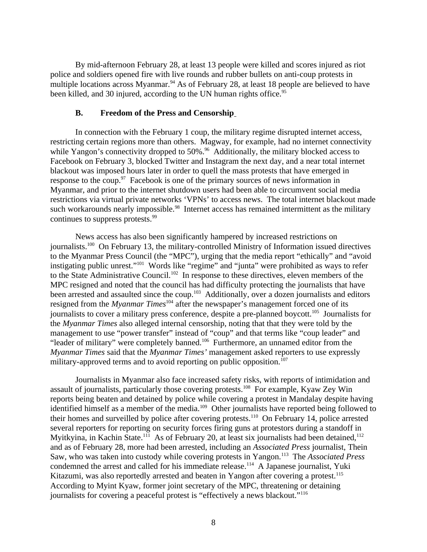By mid-afternoon February 28, at least 13 people were killed and scores injured as riot police and soldiers opened fire with live rounds and rubber bullets on anti-coup protests in multiple locations across Myanmar.<sup>94</sup> As of February 28, at least 18 people are believed to have been killed, and 30 injured, according to the UN human rights office.<sup>95</sup>

#### <span id="page-7-0"></span>**B. Freedom of the Press and Censorship**

In connection with the February 1 coup, the military regime disrupted internet access, restricting certain regions more than others. Magway, for example, had no internet connectivity while Yangon's connectivity dropped to 50%.<sup>96</sup> Additionally, the military blocked access to Facebook on February 3, blocked Twitter and Instagram the next day, and a near total internet blackout was imposed hours later in order to quell the mass protests that have emerged in response to the coup.<sup>97</sup> Facebook is one of the primary sources of news information in Myanmar, and prior to the internet shutdown users had been able to circumvent social media restrictions via virtual private networks 'VPNs' to access news. The total internet blackout made such workarounds nearly impossible.<sup>98</sup> Internet access has remained intermittent as the military continues to suppress protests.<sup>99</sup>

News access has also been significantly hampered by increased restrictions on journalists.<sup>100</sup> On February 13, the military-controlled Ministry of Information issued directives to the Myanmar Press Council (the "MPC"), urging that the media report "ethically" and "avoid instigating public unrest."<sup>101</sup> Words like "regime" and "junta" were prohibited as ways to refer to the State Administrative Council.<sup>102</sup> In response to these directives, eleven members of the MPC resigned and noted that the council has had difficulty protecting the journalists that have been arrested and assaulted since the coup.<sup>103</sup> Additionally, over a dozen journalists and editors resigned from the *Myanmar Times*<sup>104</sup> after the newspaper's management forced one of its journalists to cover a military press conference, despite a pre-planned boycott.<sup>105</sup> Journalists for the *Myanmar Times* also alleged internal censorship, noting that that they were told by the management to use "power transfer" instead of "coup" and that terms like "coup leader" and "leader of military" were completely banned.<sup>106</sup> Furthermore, an unnamed editor from the *Myanmar Times* said that the *Myanmar Times'* management asked reporters to use expressly military-approved terms and to avoid reporting on public opposition.<sup>107</sup>

Journalists in Myanmar also face increased safety risks, with reports of intimidation and assault of journalists, particularly those covering protests.<sup>108</sup> For example, Kyaw Zey Win reports being beaten and detained by police while covering a protest in Mandalay despite having identified himself as a member of the media.<sup>109</sup> Other journalists have reported being followed to their homes and surveilled by police after covering protests.<sup>110</sup> On February 14, police arrested several reporters for reporting on security forces firing guns at protestors during a standoff in Myitkyina, in Kachin State.<sup>111</sup> As of February 20, at least six journalists had been detained,<sup>112</sup> and as of February 28, more had been arrested, including an *Associated Press* journalist, Thein Saw, who was taken into custody while covering protests in Yangon.<sup>113</sup> The *Associated Press* condemned the arrest and called for his immediate release.<sup>114</sup> A Japanese journalist, Yuki Kitazumi, was also reportedly arrested and beaten in Yangon after covering a protest.<sup>115</sup> According to Myint Kyaw, former joint secretary of the MPC, threatening or detaining journalists for covering a peaceful protest is "effectively a news blackout."<sup>116</sup>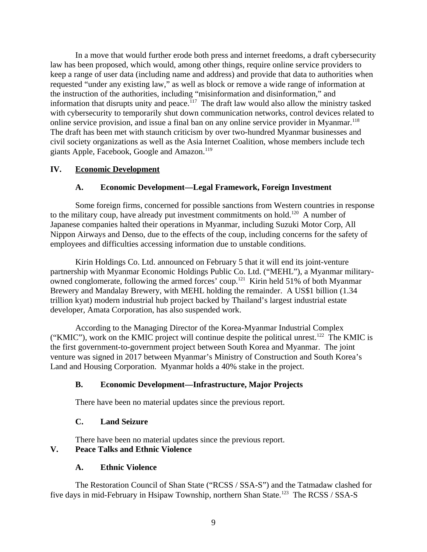In a move that would further erode both press and internet freedoms, a draft cybersecurity law has been proposed, which would, among other things, require online service providers to keep a range of user data (including name and address) and provide that data to authorities when requested "under any existing law," as well as block or remove a wide range of information at the instruction of the authorities, including "misinformation and disinformation," and information that disrupts unity and peace.<sup>117</sup> The draft law would also allow the ministry tasked with cybersecurity to temporarily shut down communication networks, control devices related to online service provision, and issue a final ban on any online service provider in Myanmar.<sup>118</sup> The draft has been met with staunch criticism by over two-hundred Myanmar businesses and civil society organizations as well as the Asia Internet Coalition, whose members include tech giants Apple, Facebook, Google and Amazon.<sup>119</sup>

## **IV. Economic Development**

# <span id="page-8-1"></span><span id="page-8-0"></span>**A. Economic Development—Legal Framework, Foreign Investment**

Some foreign firms, concerned for possible sanctions from Western countries in response to the military coup, have already put investment commitments on hold.<sup>120</sup> A number of Japanese companies halted their operations in Myanmar, including Suzuki Motor Corp, All Nippon Airways and Denso, due to the effects of the coup, including concerns for the safety of employees and difficulties accessing information due to unstable conditions.

Kirin Holdings Co. Ltd. announced on February 5 that it will end its joint-venture partnership with Myanmar Economic Holdings Public Co. Ltd. ("MEHL"), a Myanmar militaryowned conglomerate, following the armed forces' coup.<sup>121</sup> Kirin held 51% of both Myanmar Brewery and Mandalay Brewery, with MEHL holding the remainder. A US\$1 billion (1.34 trillion kyat) modern industrial hub project backed by Thailand's largest industrial estate developer, Amata Corporation, has also suspended work.

According to the Managing Director of the Korea-Myanmar Industrial Complex ("KMIC"), work on the KMIC project will continue despite the political unrest.<sup>122</sup> The KMIC is the first government-to-government project between South Korea and Myanmar. The joint venture was signed in 2017 between Myanmar's Ministry of Construction and South Korea's Land and Housing Corporation. Myanmar holds a 40% stake in the project.

# <span id="page-8-2"></span>**B. Economic Development—Infrastructure, Major Projects**

There have been no material updates since the previous report.

### <span id="page-8-3"></span>**C. Land Seizure**

<span id="page-8-4"></span>There have been no material updates since the previous report.

# **V. Peace Talks and Ethnic Violence**

### <span id="page-8-5"></span>**A. Ethnic Violence**

The Restoration Council of Shan State ("RCSS / SSA-S") and the Tatmadaw clashed for five days in mid-February in Hsipaw Township, northern Shan State.<sup>123</sup> The RCSS / SSA-S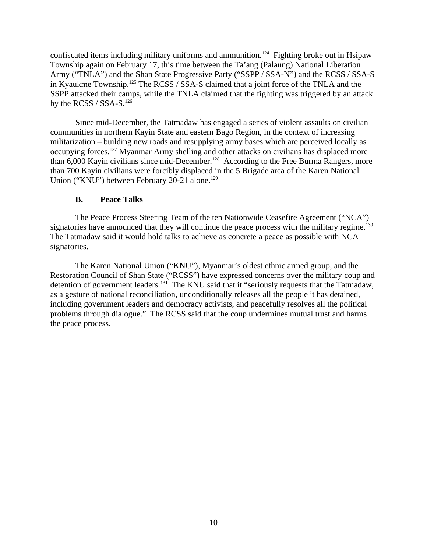confiscated items including military uniforms and ammunition.<sup>124</sup> Fighting broke out in Hsipaw Township again on February 17, this time between the Ta'ang (Palaung) National Liberation Army ("TNLA") and the Shan State Progressive Party ("SSPP / SSA-N") and the RCSS / SSA-S in Kyaukme Township.<sup>125</sup> The RCSS / SSA-S claimed that a joint force of the TNLA and the SSPP attacked their camps, while the TNLA claimed that the fighting was triggered by an attack by the RCSS / SSA-S. $^{126}$ 

Since mid-December, the Tatmadaw has engaged a series of violent assaults on civilian communities in northern Kayin State and eastern Bago Region, in the context of increasing militarization – building new roads and resupplying army bases which are perceived locally as occupying forces.<sup>127</sup> Myanmar Army shelling and other attacks on civilians has displaced more than 6,000 Kayin civilians since mid-December.<sup>128</sup> According to the Free Burma Rangers, more than 700 Kayin civilians were forcibly displaced in the 5 Brigade area of the Karen National Union ("KNU") between February 20-21 alone.<sup>129</sup>

## <span id="page-9-0"></span>**B. Peace Talks**

The Peace Process Steering Team of the ten Nationwide Ceasefire Agreement ("NCA") signatories have announced that they will continue the peace process with the military regime.<sup>130</sup> The Tatmadaw said it would hold talks to achieve as concrete a peace as possible with NCA signatories.

The Karen National Union ("KNU"), Myanmar's oldest ethnic armed group, and the Restoration Council of Shan State ("RCSS") have expressed concerns over the military coup and detention of government leaders.<sup>131</sup> The KNU said that it "seriously requests that the Tatmadaw, as a gesture of national reconciliation, unconditionally releases all the people it has detained, including government leaders and democracy activists, and peacefully resolves all the political problems through dialogue." The RCSS said that the coup undermines mutual trust and harms the peace process.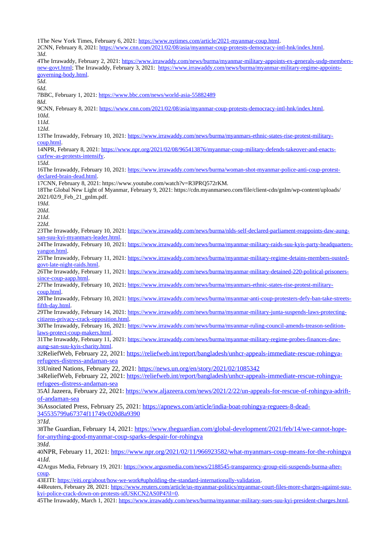1The New York Times, February 6, 2021: [https://www.nytimes.com/article/2021-myanmar-coup.html.](https://www.nytimes.com/article/2021-myanmar-coup.html) 2CNN, February 8, 2021: [https://www.cnn.com/2021/02/08/asia/myanmar-coup-protests-democracy-intl-hnk/index.html.](https://www.cnn.com/2021/02/08/asia/myanmar-coup-protests-democracy-intl-hnk/index.html) 3*Id*. 4The Irrawaddy, February 2, 2021: [https://www.irrawaddy.com/news/burma/myanmar-military-appoints-ex-generals-usdp-members](https://www.irrawaddy.com/news/burma/myanmar-military-appoints-ex-generals-usdp-members-new-govt.html)[new-govt.html;](https://www.irrawaddy.com/news/burma/myanmar-military-appoints-ex-generals-usdp-members-new-govt.html) The Irrawaddy, February 3, 2021: [https://www.irrawaddy.com/news/burma/myanmar-military-regime-appoints](https://www.irrawaddy.com/news/burma/myanmar-military-regime-appoints-governing-body.html)[governing-body.html.](https://www.irrawaddy.com/news/burma/myanmar-military-regime-appoints-governing-body.html) 5*Id*. 6*Id*. 7BBC, February 1, 2021:<https://www.bbc.com/news/world-asia-55882489> 8*Id*. 9CNN, February 8, 2021: [https://www.cnn.com/2021/02/08/asia/myanmar-coup-protests-democracy-intl-hnk/index.html.](https://www.cnn.com/2021/02/08/asia/myanmar-coup-protests-democracy-intl-hnk/index.html) 10*Id*. 11*Id*. 12*Id*. 13The Irrawaddy, February 10, 2021: [https://www.irrawaddy.com/news/burma/myanmars-ethnic-states-rise-protest-military](https://www.irrawaddy.com/news/burma/myanmars-ethnic-states-rise-protest-military-coup.html)[coup.html.](https://www.irrawaddy.com/news/burma/myanmars-ethnic-states-rise-protest-military-coup.html) 14NPR, February 8, 2021: [https://www.npr.org/2021/02/08/965413876/myanmar-coup-military-defends-takeover-and-enacts](https://www.npr.org/2021/02/08/965413876/myanmar-coup-military-defends-takeover-and-enacts-curfew-as-protests-intensify)[curfew-as-protests-intensify.](https://www.npr.org/2021/02/08/965413876/myanmar-coup-military-defends-takeover-and-enacts-curfew-as-protests-intensify) 15*Id*. 16The Irrawaddy, February 10, 2021: [https://www.irrawaddy.com/news/burma/woman-shot-myanmar-police-anti-coup-protest](https://www.irrawaddy.com/news/burma/woman-shot-myanmar-police-anti-coup-protest-declared-brain-dead.html)[declared-brain-dead.html.](https://www.irrawaddy.com/news/burma/woman-shot-myanmar-police-anti-coup-protest-declared-brain-dead.html) 17CNN, February 8, 2021: https://www.youtube.com/watch?v=R3PRQ572rKM. 18The Global New Light of Myanmar, February 9, 2021: https://cdn.myanmarseo.com/file/client-cdn/gnlm/wp-content/uploads/ 2021/02/9\_Feb\_21\_gnlm.pdf. 19*Id*. 20*Id*. 21*Id*. 22*Id*. 23The Irrawaddy, February 10, 2021: [https://www.irrawaddy.com/news/burma/nlds-self-declared-parliament-reappoints-daw-aung](https://www.irrawaddy.com/news/burma/nlds-self-declared-parliament-reappoints-daw-aung-san-suu-kyi-myanmars-leader.html)[san-suu-kyi-myanmars-leader.html.](https://www.irrawaddy.com/news/burma/nlds-self-declared-parliament-reappoints-daw-aung-san-suu-kyi-myanmars-leader.html) 24The Irrawaddy, February 10, 2021: [https://www.irrawaddy.com/news/burma/myanmar-military-raids-suu-kyis-party-headquarters](https://www.irrawaddy.com/news/burma/myanmar-military-raids-suu-kyis-party-headquarters-yangon.html)[yangon.html.](https://www.irrawaddy.com/news/burma/myanmar-military-raids-suu-kyis-party-headquarters-yangon.html) 25The Irrawaddy, February 11, 2021: [https://www.irrawaddy.com/news/burma/myanmar-military-regime-detains-members-ousted](https://www.irrawaddy.com/news/burma/myanmar-military-regime-detains-members-ousted-govt-late-night-raids.html)[govt-late-night-raids.html.](https://www.irrawaddy.com/news/burma/myanmar-military-regime-detains-members-ousted-govt-late-night-raids.html) 26The Irrawaddy, February 11, 2021: [https://www.irrawaddy.com/news/burma/myanmar-military-detained-220-political-prisoners](https://www.irrawaddy.com/news/burma/myanmar-military-detained-220-political-prisoners-since-coup-aapp.html)[since-coup-aapp.html.](https://www.irrawaddy.com/news/burma/myanmar-military-detained-220-political-prisoners-since-coup-aapp.html) 27The Irrawaddy, February 10, 2021: [https://www.irrawaddy.com/news/burma/myanmars-ethnic-states-rise-protest-military](https://www.irrawaddy.com/news/burma/myanmars-ethnic-states-rise-protest-military-coup.html)[coup.html.](https://www.irrawaddy.com/news/burma/myanmars-ethnic-states-rise-protest-military-coup.html) 28The Irrawaddy, February 10, 2021: [https://www.irrawaddy.com/news/burma/myanmar-anti-coup-protesters-defy-ban-take-streets](https://www.irrawaddy.com/news/burma/myanmar-anti-coup-protesters-defy-ban-take-streets-fifth-day.html)[fifth-day.html.](https://www.irrawaddy.com/news/burma/myanmar-anti-coup-protesters-defy-ban-take-streets-fifth-day.html) 29The Irrawaddy, February 14, 2021: [https://www.irrawaddy.com/news/burma/myanmar-military-junta-suspends-laws-protecting](https://www.irrawaddy.com/news/burma/myanmar-military-junta-suspends-laws-protecting-citizens-privacy-crack-opposition.html)[citizens-privacy-crack-opposition.html.](https://www.irrawaddy.com/news/burma/myanmar-military-junta-suspends-laws-protecting-citizens-privacy-crack-opposition.html) 30The Irrawaddy, February 16, 2021: [https://www.irrawaddy.com/news/burma/myanmar-ruling-council-amends-treason-sedition](https://www.irrawaddy.com/news/burma/myanmar-ruling-council-amends-treason-sedition-laws-protect-coup-makers.html)[laws-protect-coup-makers.html.](https://www.irrawaddy.com/news/burma/myanmar-ruling-council-amends-treason-sedition-laws-protect-coup-makers.html) 31The Irrawaddy, February 11, 2021: [https://www.irrawaddy.com/news/burma/myanmar-military-regime-probes-finances-daw](https://www.irrawaddy.com/news/burma/myanmar-military-regime-probes-finances-daw-aung-san-suu-kyis-charity.html)[aung-san-suu-kyis-charity.html.](https://www.irrawaddy.com/news/burma/myanmar-military-regime-probes-finances-daw-aung-san-suu-kyis-charity.html) 32ReliefWeb, February 22, 2021: [https://reliefweb.int/report/bangladesh/unhcr-appeals-immediate-rescue-rohingya](https://reliefweb.int/report/bangladesh/unhcr-appeals-immediate-rescue-rohingya-refugees-distress-andaman-sea)[refugees-distress-andaman-sea](https://reliefweb.int/report/bangladesh/unhcr-appeals-immediate-rescue-rohingya-refugees-distress-andaman-sea) 33United Nations, February 22, 2021:<https://news.un.org/en/story/2021/02/1085342> 34ReliefWeb, February 22, 2021: [https://reliefweb.int/report/bangladesh/unhcr-appeals-immediate-rescue-rohingya](https://reliefweb.int/report/bangladesh/unhcr-appeals-immediate-rescue-rohingya-refugees-distress-andaman-sea)[refugees-distress-andaman-sea](https://reliefweb.int/report/bangladesh/unhcr-appeals-immediate-rescue-rohingya-refugees-distress-andaman-sea) 35Al Jazeera, February 22, 2021: [https://www.aljazeera.com/news/2021/2/22/un-appeals-for-rescue-of-rohingya-adrift](https://www.aljazeera.com/news/2021/2/22/un-appeals-for-rescue-of-rohingya-adrift-of-andaman-sea)[of-andaman-sea](https://www.aljazeera.com/news/2021/2/22/un-appeals-for-rescue-of-rohingya-adrift-of-andaman-sea) 36Associated Press, February 25, 2021: [https://apnews.com/article/india-boat-rohingya-reguees-8-dead-](https://apnews.com/article/india-boat-rohingya-reguees-8-dead-345535799a67374f11749c020d8a9390)[345535799a67374f11749c020d8a9390](https://apnews.com/article/india-boat-rohingya-reguees-8-dead-345535799a67374f11749c020d8a9390) 37*Id*. 38The Guardian, February 14, 2021: [https://www.theguardian.com/global-development/2021/feb/14/we-cannot-hope](https://www.theguardian.com/global-development/2021/feb/14/we-cannot-hope-for-anything-good-myanmar-coup-sparks-despair-for-rohingya)[for-anything-good-myanmar-coup-sparks-despair-for-rohingya](https://www.theguardian.com/global-development/2021/feb/14/we-cannot-hope-for-anything-good-myanmar-coup-sparks-despair-for-rohingya) 39*Id*. 40NPR, February 11, 2021:<https://www.npr.org/2021/02/11/966923582/what-myanmars-coup-means-for-the-rohingya> 41*Id*. 42Argus Media, February 19, 2021: [https://www.argusmedia.com/news/2188545-transparency-group-eiti-suspends-burma-after](https://www.argusmedia.com/news/2188545-transparency-group-eiti-suspends-burma-after-coup)[coup.](https://www.argusmedia.com/news/2188545-transparency-group-eiti-suspends-burma-after-coup) 43EITI: [https://eiti.org/about/how-we-work#upholding-the-standard-internationally-validation.](https://eiti.org/about/how-we-work#upholding-the-standard-internationally-validation) 44Reuters, February 28, 2021: [https://www.reuters.com/article/us-myanmar-politics/myanmar-court-files-more-charges-against-suu](https://www.reuters.com/article/us-myanmar-politics/myanmar-court-files-more-charges-against-suu-kyi-police-crack-down-on-protests-idUSKCN2AS0P4?il=0)[kyi-police-crack-down-on-protests-idUSKCN2AS0P4?il=0.](https://www.reuters.com/article/us-myanmar-politics/myanmar-court-files-more-charges-against-suu-kyi-police-crack-down-on-protests-idUSKCN2AS0P4?il=0) 45The Irrawaddy, March 1, 2021: [https://www.irrawaddy.com/news/burma/myanmar-military-sues-suu-kyi-president-charges.html.](https://www.irrawaddy.com/news/burma/myanmar-military-sues-suu-kyi-president-charges.html)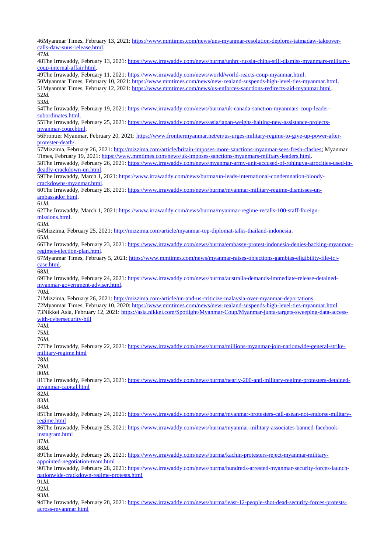46Myanmar Times, February 13, 2021: [https://www.mmtimes.com/news/uns-myanmar-resolution-deplores-tatmadaw-takeover](https://www.mmtimes.com/news/uns-myanmar-resolution-deplores-tatmadaw-takeover-calls-daw-suus-release.html)[calls-daw-suus-release.html.](https://www.mmtimes.com/news/uns-myanmar-resolution-deplores-tatmadaw-takeover-calls-daw-suus-release.html) 47*Id.*

48The Irrawaddy, February 13, 2021: [https://www.irrawaddy.com/news/burma/unhrc-russia-china-still-dismiss-myanmars-military](https://www.irrawaddy.com/news/burma/unhrc-russia-china-still-dismiss-myanmars-military-coup-internal-affair.html)[coup-internal-affair.html.](https://www.irrawaddy.com/news/burma/unhrc-russia-china-still-dismiss-myanmars-military-coup-internal-affair.html) 49The Irrawaddy, February 11, 2021: [https://www.irrawaddy.com/news/world/world-reacts-coup-myanmar.html.](https://www.irrawaddy.com/news/world/world-reacts-coup-myanmar.html) 50Myanmar Times, February 10, 2021: [https://www.mmtimes.com/news/new-zealand-suspends-high-level-ties-myanmar.html.](https://www.mmtimes.com/news/new-zealand-suspends-high-level-ties-myanmar.html) 51Myanmar Times, February 12, 2021: [https://www.mmtimes.com/news/us-enforces-sanctions-redirects-aid-myanmar.html.](https://www.mmtimes.com/news/us-enforces-sanctions-redirects-aid-myanmar.html) 52*Id.* 53*Id.* 54The Irrawaddy, February 19, 2021: [https://www.irrawaddy.com/news/burma/uk-canada-sanction-myanmars-coup-leader](https://www.irrawaddy.com/news/burma/uk-canada-sanction-myanmars-coup-leader-subordinates.html)[subordinates.html.](https://www.irrawaddy.com/news/burma/uk-canada-sanction-myanmars-coup-leader-subordinates.html) 55The Irrawaddy, February 25, 2021: [https://www.irrawaddy.com/news/asia/japan-weighs-halting-new-assistance-projects](https://www.irrawaddy.com/news/asia/japan-weighs-halting-new-assistance-projects-myanmar-coup.html)[myanmar-coup.html.](https://www.irrawaddy.com/news/asia/japan-weighs-halting-new-assistance-projects-myanmar-coup.html) 56Frontier Myanmar, February 20, 2021: [https://www.frontiermyanmar.net/en/us-urges-military-regime-to-give-up-power-after](https://www.frontiermyanmar.net/en/us-urges-military-regime-to-give-up-power-after-protester-death/)[protester-death/.](https://www.frontiermyanmar.net/en/us-urges-military-regime-to-give-up-power-after-protester-death/) 57Mizzima, February 26, 2021: [http://mizzima.com/article/britain-imposes-more-sanctions-myanmar-sees-fresh-clashes;](http://mizzima.com/article/britain-imposes-more-sanctions-myanmar-sees-fresh-clashes) Myanmar Times, February 19, 2021: [https://www.mmtimes.com/news/uk-imposes-sanctions-myanmars-military-leaders.html.](https://www.mmtimes.com/news/uk-imposes-sanctions-myanmars-military-leaders.html) 58The Irrawaddy, February 26, 2021: [https://www.irrawaddy.com/news/myanmar-army-unit-accused-of-rohingya-atrocities-used-in](https://www.irrawaddy.com/news/myanmar-army-unit-accused-of-rohingya-atrocities-used-in-deadly-crackdown-un.html)[deadly-crackdown-un.html.](https://www.irrawaddy.com/news/myanmar-army-unit-accused-of-rohingya-atrocities-used-in-deadly-crackdown-un.html) 59The Irrawaddy, March 1, 2021: [https://www.irrawaddy.com/news/burma/un-leads-international-condemnation-bloody](https://www.irrawaddy.com/news/burma/un-leads-international-condemnation-bloody-crackdowns-myanmar.html)[crackdowns-myanmar.html.](https://www.irrawaddy.com/news/burma/un-leads-international-condemnation-bloody-crackdowns-myanmar.html) 60The Irrawaddy, February 28, 2021: [https://www.irrawaddy.com/news/burma/myanmar-military-regime-dismisses-un](https://www.irrawaddy.com/news/burma/myanmar-military-regime-dismisses-un-ambassador.html)[ambassador.html.](https://www.irrawaddy.com/news/burma/myanmar-military-regime-dismisses-un-ambassador.html) 61*Id.* 62The Irrawaddy, March 1, 2021: [https://www.irrawaddy.com/news/burma/myanmar-regime-recalls-100-staff-foreign](https://www.irrawaddy.com/news/burma/myanmar-regime-recalls-100-staff-foreign-missions.html)[missions.html.](https://www.irrawaddy.com/news/burma/myanmar-regime-recalls-100-staff-foreign-missions.html) 63*Id.* 64Mizzima, February 25, 2021: [http://mizzima.com/article/myanmar-top-diplomat-talks-thailand-indonesia.](http://mizzima.com/article/myanmar-top-diplomat-talks-thailand-indonesia) 65*Id.* 66The Irrawaddy, February 23, 2021: [https://www.irrawaddy.com/news/burma/embassy-protest-indonesia-denies-backing-myanmar](https://www.irrawaddy.com/news/burma/embassy-protest-indonesia-denies-backing-myanmar-regimes-election-plan.html)[regimes-election-plan.html.](https://www.irrawaddy.com/news/burma/embassy-protest-indonesia-denies-backing-myanmar-regimes-election-plan.html) 67Myanmar Times, February 5, 2021: [https://www.mmtimes.com/news/myanmar-raises-objections-gambias-eligibility-file-icj](https://www.mmtimes.com/news/myanmar-raises-objections-gambias-eligibility-file-icj-case.html)[case.html.](https://www.mmtimes.com/news/myanmar-raises-objections-gambias-eligibility-file-icj-case.html) 68*Id.* 69The Irrawaddy, February 24, 2021: [https://www.irrawaddy.com/news/burma/australia-demands-immediate-release-detained](https://www.irrawaddy.com/news/burma/australia-demands-immediate-release-detained-myanmar-government-adviser.html)[myanmar-government-adviser.html.](https://www.irrawaddy.com/news/burma/australia-demands-immediate-release-detained-myanmar-government-adviser.html) 70*Id.* 71Mizzima, February 26, 2021: [http://mizzima.com/article/un-and-us-criticize-malaysia-over-myanmar-deportations.](http://mizzima.com/article/un-and-us-criticize-malaysia-over-myanmar-deportations) 72Myanmar Times, February 10, 2020:<https://www.mmtimes.com/news/new-zealand-suspends-high-level-ties-myanmar.html> 73Nikkei Asia, February 12, 2021: [https://asia.nikkei.com/Spotlight/Myanmar-Coup/Myanmar-junta-targets-sweeping-data-access](https://asia.nikkei.com/Spotlight/Myanmar-Coup/Myanmar-junta-targets-sweeping-data-access-with-cybersecurity-bill)[with-cybersecurity-bill](https://asia.nikkei.com/Spotlight/Myanmar-Coup/Myanmar-junta-targets-sweeping-data-access-with-cybersecurity-bill) 74*Id.* 75*Id.* 76*Id.* 77The Irrawaddy, February 22, 2021: [https://www.irrawaddy.com/news/burma/millions-myanmar-join-nationwide-general-strike](https://www.irrawaddy.com/news/burma/millions-myanmar-join-nationwide-general-strike-military-regime.html)[military-regime.html](https://www.irrawaddy.com/news/burma/millions-myanmar-join-nationwide-general-strike-military-regime.html) 78*Id.* 79*Id.* 80*Id.* 81The Irrawaddy, February 23, 2021: [https://www.irrawaddy.com/news/burma/nearly-200-anti-military-regime-protesters-detained](https://www.irrawaddy.com/news/burma/nearly-200-anti-military-regime-protesters-detained-myanmar-capital.html)[myanmar-capital.html](https://www.irrawaddy.com/news/burma/nearly-200-anti-military-regime-protesters-detained-myanmar-capital.html) 82*Id.* 83*Id.* 84*Id.* 85The Irrawaddy, February 24, 2021: [https://www.irrawaddy.com/news/burma/myanmar-protesters-call-asean-not-endorse-military](https://www.irrawaddy.com/news/burma/myanmar-protesters-call-asean-not-endorse-military-regime.html)[regime.html](https://www.irrawaddy.com/news/burma/myanmar-protesters-call-asean-not-endorse-military-regime.html) 86The Irrawaddy, February 25, 2021: [https://www.irrawaddy.com/news/burma/myanmar-military-associates-banned-facebook](https://www.irrawaddy.com/news/burma/myanmar-military-associates-banned-facebook-instagram.html)[instagram.html](https://www.irrawaddy.com/news/burma/myanmar-military-associates-banned-facebook-instagram.html) 87*Id.* 88*Id.* 89The Irrawaddy, February 26, 2021: [https://www.irrawaddy.com/news/burma/kachin-protesters-reject-myanmar-military](https://www.irrawaddy.com/news/burma/kachin-protesters-reject-myanmar-military-appointed-negotiation-team.html)[appointed-negotiation-team.html](https://www.irrawaddy.com/news/burma/kachin-protesters-reject-myanmar-military-appointed-negotiation-team.html) 90The Irrawaddy, February 28, 2021: [https://www.irrawaddy.com/news/burma/hundreds-arrested-myanmar-security-forces-launch](https://www.irrawaddy.com/news/burma/hundreds-arrested-myanmar-security-forces-launch-nationwide-crackdown-regime-protests.html)[nationwide-crackdown-regime-protests.html](https://www.irrawaddy.com/news/burma/hundreds-arrested-myanmar-security-forces-launch-nationwide-crackdown-regime-protests.html) 91*Id.* 92*Id.* 93*Id.*

94The Irrawaddy, February 28, 2021: [https://www.irrawaddy.com/news/burma/least-12-people-shot-dead-security-forces-protests](https://www.irrawaddy.com/news/burma/least-12-people-shot-dead-security-forces-protests-across-myanmar.html)[across-myanmar.html](https://www.irrawaddy.com/news/burma/least-12-people-shot-dead-security-forces-protests-across-myanmar.html)